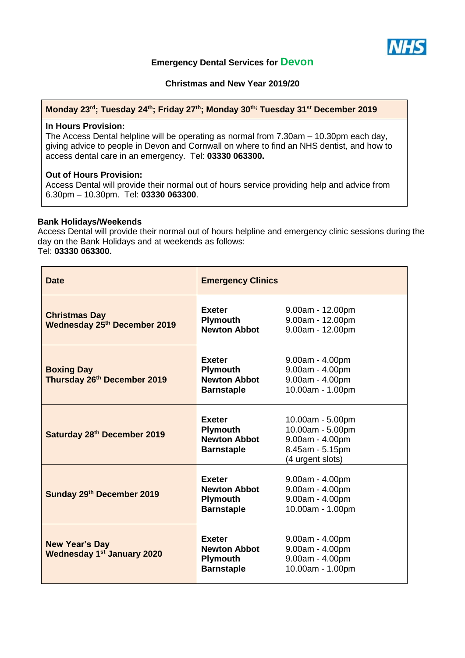

# **Emergency Dental Services for Devon**

**Christmas and New Year 2019/20**

#### **Monday 23rd; Tuesday 24th; Friday 27 th; Monday 30th; Tuesday 31st December 2019**

### **In Hours Provision:**

The Access Dental helpline will be operating as normal from 7.30am – 10.30pm each day, giving advice to people in Devon and Cornwall on where to find an NHS dentist, and how to access dental care in an emergency. Tel: **03330 063300.**

## **Out of Hours Provision:**

Access Dental will provide their normal out of hours service providing help and advice from 6.30pm – 10.30pm. Tel: **03330 063300**.

#### **Bank Holidays/Weekends**

Access Dental will provide their normal out of hours helpline and emergency clinic sessions during the day on the Bank Holidays and at weekends as follows: Tel: **03330 063300.**

| <b>Date</b>                                                | <b>Emergency Clinics</b>                                                     |                                                                                                |
|------------------------------------------------------------|------------------------------------------------------------------------------|------------------------------------------------------------------------------------------------|
| <b>Christmas Day</b><br>Wednesday 25th December 2019       | <b>Exeter</b><br><b>Plymouth</b><br><b>Newton Abbot</b>                      | $9.00am - 12.00pm$<br>9.00am - 12.00pm<br>9.00am - 12.00pm                                     |
| <b>Boxing Day</b><br>Thursday 26th December 2019           | <b>Exeter</b><br><b>Plymouth</b><br><b>Newton Abbot</b><br><b>Barnstaple</b> | $9.00am - 4.00pm$<br>9.00am - 4.00pm<br>9.00am - 4.00pm<br>10.00am - 1.00pm                    |
| Saturday 28th December 2019                                | <b>Exeter</b><br><b>Plymouth</b><br><b>Newton Abbot</b><br><b>Barnstaple</b> | 10.00am - 5.00pm<br>10.00am - 5.00pm<br>9.00am - 4.00pm<br>8.45am - 5.15pm<br>(4 urgent slots) |
| Sunday 29th December 2019                                  | <b>Exeter</b><br><b>Newton Abbot</b><br><b>Plymouth</b><br><b>Barnstaple</b> | $9.00am - 4.00pm$<br>9.00am - 4.00pm<br>9.00am - 4.00pm<br>10.00am - 1.00pm                    |
| <b>New Year's Day</b><br><b>Wednesday 1st January 2020</b> | <b>Exeter</b><br><b>Newton Abbot</b><br><b>Plymouth</b><br><b>Barnstaple</b> | $9.00am - 4.00pm$<br>9.00am - 4.00pm<br>9.00am - 4.00pm<br>10.00am - 1.00pm                    |